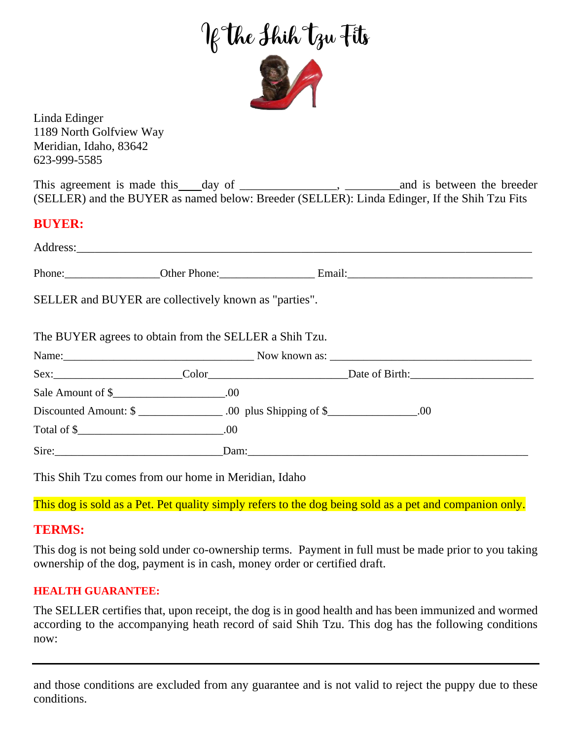If The Shih Tzu Fits

Linda Edinger 1189 North Golfview Way Meridian, Idaho, 83642 623-999-5585

This agreement is made this day of \_\_\_\_\_\_\_\_\_\_\_\_\_\_\_\_, \_\_\_\_\_\_\_\_\_and is between the breeder (SELLER) and the BUYER as named below: Breeder (SELLER): Linda Edinger, If the Shih Tzu Fits

## **BUYER:**

| SELLER and BUYER are collectively known as "parties".  |  |  |
|--------------------------------------------------------|--|--|
| The BUYER agrees to obtain from the SELLER a Shih Tzu. |  |  |
|                                                        |  |  |
|                                                        |  |  |
|                                                        |  |  |
|                                                        |  |  |
| Total of $\frac{1}{2}$ .00                             |  |  |
|                                                        |  |  |

This Shih Tzu comes from our home in Meridian, Idaho

This dog is sold as a Pet. Pet quality simply refers to the dog being sold as a pet and companion only.

# **TERMS:**

This dog is not being sold under co-ownership terms. Payment in full must be made prior to you taking ownership of the dog, payment is in cash, money order or certified draft.

### **HEALTH GUARANTEE:**

The SELLER certifies that, upon receipt, the dog is in good health and has been immunized and wormed according to the accompanying heath record of said Shih Tzu. This dog has the following conditions now:

and those conditions are excluded from any guarantee and is not valid to reject the puppy due to these conditions.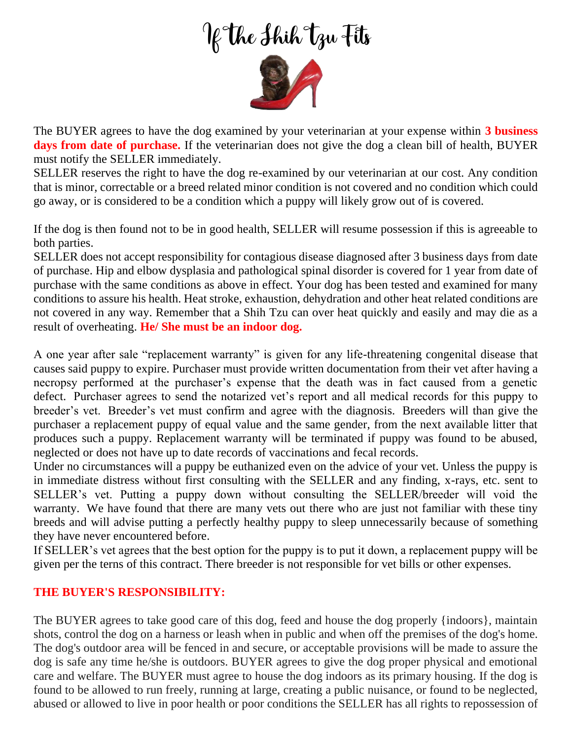# If The Shih Tzu Fits



The BUYER agrees to have the dog examined by your veterinarian at your expense within **3 business days from date of purchase.** If the veterinarian does not give the dog a clean bill of health, BUYER must notify the SELLER immediately.

SELLER reserves the right to have the dog re-examined by our veterinarian at our cost. Any condition that is minor, correctable or a breed related minor condition is not covered and no condition which could go away, or is considered to be a condition which a puppy will likely grow out of is covered.

If the dog is then found not to be in good health, SELLER will resume possession if this is agreeable to both parties.

SELLER does not accept responsibility for contagious disease diagnosed after 3 business days from date of purchase. Hip and elbow dysplasia and pathological spinal disorder is covered for 1 year from date of purchase with the same conditions as above in effect. Your dog has been tested and examined for many conditions to assure his health. Heat stroke, exhaustion, dehydration and other heat related conditions are not covered in any way. Remember that a Shih Tzu can over heat quickly and easily and may die as a result of overheating. **He/ She must be an indoor dog.**

A one year after sale "replacement warranty" is given for any life-threatening congenital disease that causes said puppy to expire. Purchaser must provide written documentation from their vet after having a necropsy performed at the purchaser's expense that the death was in fact caused from a genetic defect. Purchaser agrees to send the notarized vet's report and all medical records for this puppy to breeder's vet. Breeder's vet must confirm and agree with the diagnosis. Breeders will than give the purchaser a replacement puppy of equal value and the same gender, from the next available litter that produces such a puppy. Replacement warranty will be terminated if puppy was found to be abused, neglected or does not have up to date records of vaccinations and fecal records.

Under no circumstances will a puppy be euthanized even on the advice of your vet. Unless the puppy is in immediate distress without first consulting with the SELLER and any finding, x-rays, etc. sent to SELLER's vet. Putting a puppy down without consulting the SELLER/breeder will void the warranty. We have found that there are many vets out there who are just not familiar with these tiny breeds and will advise putting a perfectly healthy puppy to sleep unnecessarily because of something they have never encountered before.

If SELLER's vet agrees that the best option for the puppy is to put it down, a replacement puppy will be given per the terns of this contract. There breeder is not responsible for vet bills or other expenses.

### **THE BUYER'S RESPONSIBILITY:**

The BUYER agrees to take good care of this dog, feed and house the dog properly {indoors}, maintain shots, control the dog on a harness or leash when in public and when off the premises of the dog's home. The dog's outdoor area will be fenced in and secure, or acceptable provisions will be made to assure the dog is safe any time he/she is outdoors. BUYER agrees to give the dog proper physical and emotional care and welfare. The BUYER must agree to house the dog indoors as its primary housing. If the dog is found to be allowed to run freely, running at large, creating a public nuisance, or found to be neglected, abused or allowed to live in poor health or poor conditions the SELLER has all rights to repossession of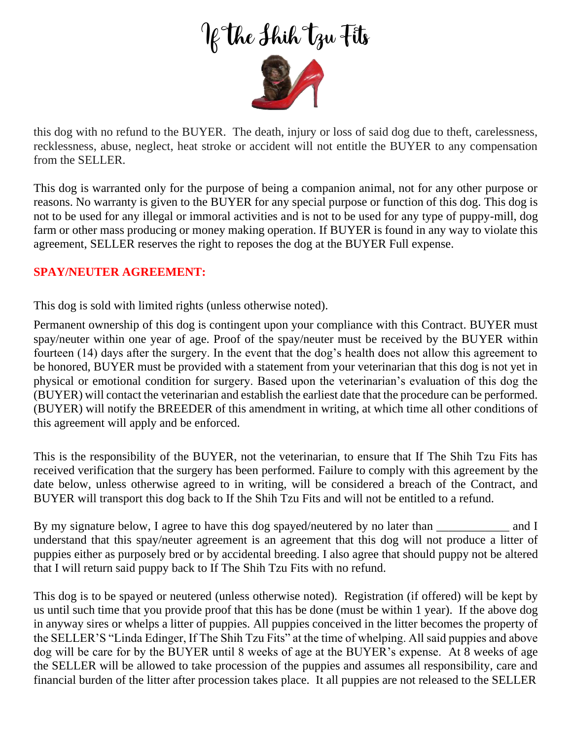If The Shih Tzu Fits



this dog with no refund to the BUYER. The death, injury or loss of said dog due to theft, carelessness, recklessness, abuse, neglect, heat stroke or accident will not entitle the BUYER to any compensation from the SELLER.

This dog is warranted only for the purpose of being a companion animal, not for any other purpose or reasons. No warranty is given to the BUYER for any special purpose or function of this dog. This dog is not to be used for any illegal or immoral activities and is not to be used for any type of puppy-mill, dog farm or other mass producing or money making operation. If BUYER is found in any way to violate this agreement, SELLER reserves the right to reposes the dog at the BUYER Full expense.

## **SPAY/NEUTER AGREEMENT:**

This dog is sold with limited rights (unless otherwise noted).

Permanent ownership of this dog is contingent upon your compliance with this Contract. BUYER must spay/neuter within one year of age. Proof of the spay/neuter must be received by the BUYER within fourteen (14) days after the surgery. In the event that the dog's health does not allow this agreement to be honored, BUYER must be provided with a statement from your veterinarian that this dog is not yet in physical or emotional condition for surgery. Based upon the veterinarian's evaluation of this dog the (BUYER) will contact the veterinarian and establish the earliest date that the procedure can be performed. (BUYER) will notify the BREEDER of this amendment in writing, at which time all other conditions of this agreement will apply and be enforced.

This is the responsibility of the BUYER, not the veterinarian, to ensure that If The Shih Tzu Fits has received verification that the surgery has been performed. Failure to comply with this agreement by the date below, unless otherwise agreed to in writing, will be considered a breach of the Contract, and BUYER will transport this dog back to If the Shih Tzu Fits and will not be entitled to a refund.

By my signature below, I agree to have this dog spayed/neutered by no later than \_\_\_\_\_\_\_\_\_\_\_\_\_\_ and I understand that this spay/neuter agreement is an agreement that this dog will not produce a litter of puppies either as purposely bred or by accidental breeding. I also agree that should puppy not be altered that I will return said puppy back to If The Shih Tzu Fits with no refund.

This dog is to be spayed or neutered (unless otherwise noted). Registration (if offered) will be kept by us until such time that you provide proof that this has be done (must be within 1 year). If the above dog in anyway sires or whelps a litter of puppies. All puppies conceived in the litter becomes the property of the SELLER'S "Linda Edinger, If The Shih Tzu Fits" at the time of whelping. All said puppies and above dog will be care for by the BUYER until 8 weeks of age at the BUYER's expense. At 8 weeks of age the SELLER will be allowed to take procession of the puppies and assumes all responsibility, care and financial burden of the litter after procession takes place. It all puppies are not released to the SELLER